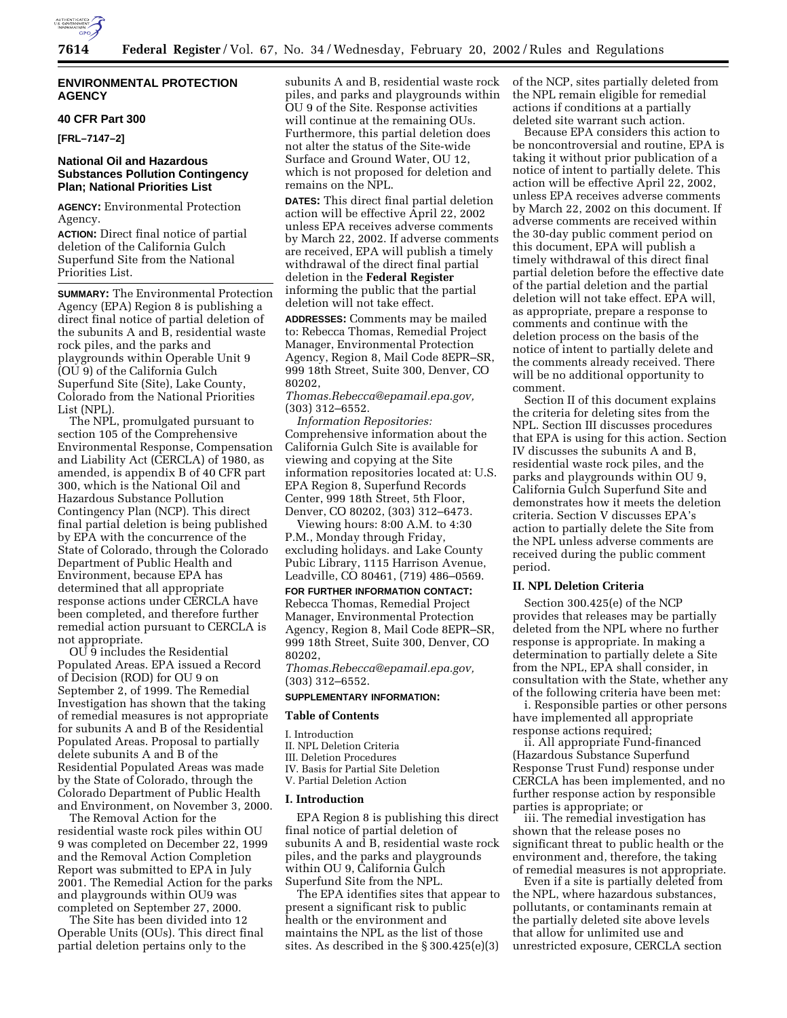

# **ENVIRONMENTAL PROTECTION AGENCY**

## **40 CFR Part 300**

**[FRL–7147–2]**

# **National Oil and Hazardous Substances Pollution Contingency Plan; National Priorities List**

**AGENCY:** Environmental Protection Agency.

**ACTION:** Direct final notice of partial deletion of the California Gulch Superfund Site from the National Priorities List.

**SUMMARY:** The Environmental Protection Agency (EPA) Region 8 is publishing a direct final notice of partial deletion of the subunits A and B, residential waste rock piles, and the parks and playgrounds within Operable Unit 9 (OU 9) of the California Gulch Superfund Site (Site), Lake County, Colorado from the National Priorities List (NPL).

The NPL, promulgated pursuant to section 105 of the Comprehensive Environmental Response, Compensation and Liability Act (CERCLA) of 1980, as amended, is appendix B of 40 CFR part 300, which is the National Oil and Hazardous Substance Pollution Contingency Plan (NCP). This direct final partial deletion is being published by EPA with the concurrence of the State of Colorado, through the Colorado Department of Public Health and Environment, because EPA has determined that all appropriate response actions under CERCLA have been completed, and therefore further remedial action pursuant to CERCLA is not appropriate.

OU 9 includes the Residential Populated Areas. EPA issued a Record of Decision (ROD) for OU 9 on September 2, of 1999. The Remedial Investigation has shown that the taking of remedial measures is not appropriate for subunits A and B of the Residential Populated Areas. Proposal to partially delete subunits A and B of the Residential Populated Areas was made by the State of Colorado, through the Colorado Department of Public Health and Environment, on November 3, 2000.

The Removal Action for the residential waste rock piles within OU 9 was completed on December 22, 1999 and the Removal Action Completion Report was submitted to EPA in July 2001. The Remedial Action for the parks and playgrounds within OU9 was completed on September 27, 2000.

The Site has been divided into 12 Operable Units (OUs). This direct final partial deletion pertains only to the

subunits A and B, residential waste rock piles, and parks and playgrounds within OU 9 of the Site. Response activities will continue at the remaining OUs. Furthermore, this partial deletion does not alter the status of the Site-wide Surface and Ground Water, OU 12, which is not proposed for deletion and remains on the NPL.

**DATES:** This direct final partial deletion action will be effective April 22, 2002 unless EPA receives adverse comments by March 22, 2002. If adverse comments are received, EPA will publish a timely withdrawal of the direct final partial deletion in the **Federal Register** informing the public that the partial deletion will not take effect.

**ADDRESSES:** Comments may be mailed to: Rebecca Thomas, Remedial Project Manager, Environmental Protection Agency, Region 8, Mail Code 8EPR–SR, 999 18th Street, Suite 300, Denver, CO 80202,

*Thomas.Rebecca@epamail.epa.gov,* (303) 312–6552.

*Information Repositories:* Comprehensive information about the California Gulch Site is available for viewing and copying at the Site information repositories located at: U.S. EPA Region 8, Superfund Records Center, 999 18th Street, 5th Floor, Denver, CO 80202, (303) 312–6473.

Viewing hours: 8:00 A.M. to 4:30 P.M., Monday through Friday, excluding holidays. and Lake County Pubic Library, 1115 Harrison Avenue, Leadville, CO 80461, (719) 486–0569.

**FOR FURTHER INFORMATION CONTACT:** Rebecca Thomas, Remedial Project Manager, Environmental Protection Agency, Region 8, Mail Code 8EPR–SR, 999 18th Street, Suite 300, Denver, CO 80202,

*Thomas.Rebecca@epamail.epa.gov,* (303) 312–6552.

## **SUPPLEMENTARY INFORMATION:**

#### **Table of Contents**

- I. Introduction
- II. NPL Deletion Criteria
- III. Deletion Procedures
- IV. Basis for Partial Site Deletion
- V. Partial Deletion Action

# **I. Introduction**

EPA Region 8 is publishing this direct final notice of partial deletion of subunits A and B, residential waste rock piles, and the parks and playgrounds within OU 9, California Gulch Superfund Site from the NPL.

The EPA identifies sites that appear to present a significant risk to public health or the environment and maintains the NPL as the list of those sites. As described in the § 300.425(e)(3)

of the NCP, sites partially deleted from the NPL remain eligible for remedial actions if conditions at a partially deleted site warrant such action.

Because EPA considers this action to be noncontroversial and routine, EPA is taking it without prior publication of a notice of intent to partially delete. This action will be effective April 22, 2002, unless EPA receives adverse comments by March 22, 2002 on this document. If adverse comments are received within the 30-day public comment period on this document, EPA will publish a timely withdrawal of this direct final partial deletion before the effective date of the partial deletion and the partial deletion will not take effect. EPA will, as appropriate, prepare a response to comments and continue with the deletion process on the basis of the notice of intent to partially delete and the comments already received. There will be no additional opportunity to comment.

Section II of this document explains the criteria for deleting sites from the NPL. Section III discusses procedures that EPA is using for this action. Section IV discusses the subunits A and B, residential waste rock piles, and the parks and playgrounds within OU 9, California Gulch Superfund Site and demonstrates how it meets the deletion criteria. Section V discusses EPA's action to partially delete the Site from the NPL unless adverse comments are received during the public comment period.

## **II. NPL Deletion Criteria**

Section 300.425(e) of the NCP provides that releases may be partially deleted from the NPL where no further response is appropriate. In making a determination to partially delete a Site from the NPL, EPA shall consider, in consultation with the State, whether any of the following criteria have been met:

i. Responsible parties or other persons have implemented all appropriate response actions required;

ii. All appropriate Fund-financed (Hazardous Substance Superfund Response Trust Fund) response under CERCLA has been implemented, and no further response action by responsible parties is appropriate; or

iii. The remedial investigation has shown that the release poses no significant threat to public health or the environment and, therefore, the taking of remedial measures is not appropriate.

Even if a site is partially deleted from the NPL, where hazardous substances, pollutants, or contaminants remain at the partially deleted site above levels that allow for unlimited use and unrestricted exposure, CERCLA section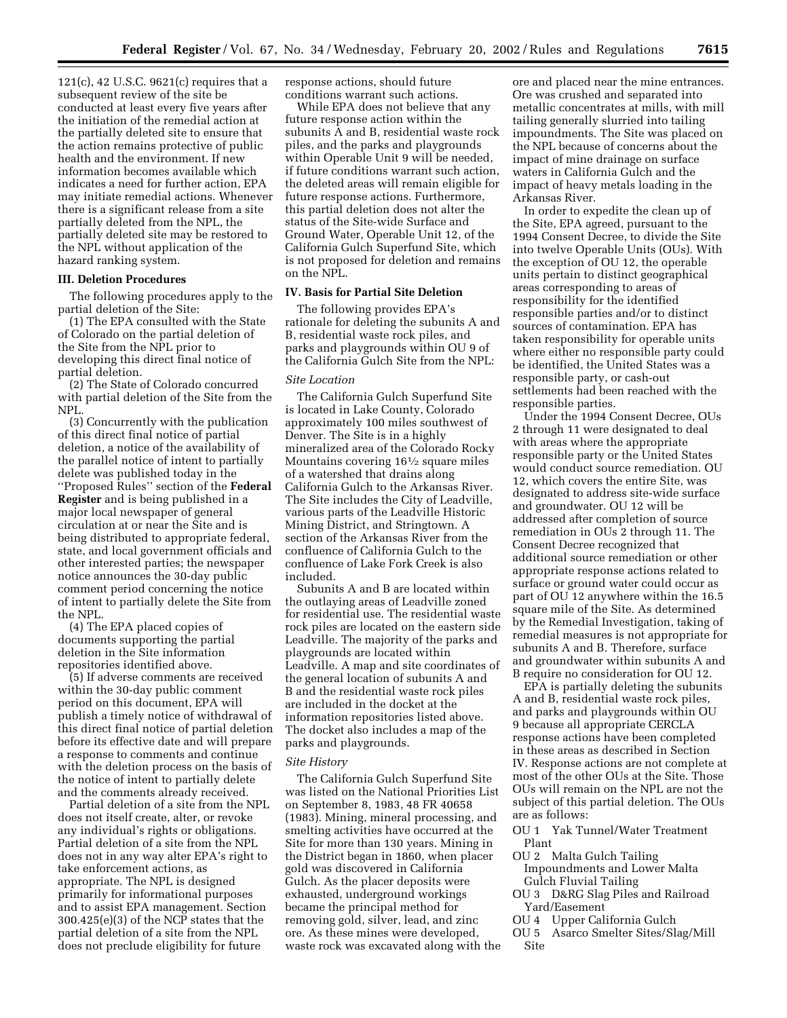121(c), 42 U.S.C. 9621(c) requires that a subsequent review of the site be conducted at least every five years after the initiation of the remedial action at the partially deleted site to ensure that the action remains protective of public health and the environment. If new information becomes available which indicates a need for further action, EPA may initiate remedial actions. Whenever there is a significant release from a site partially deleted from the NPL, the partially deleted site may be restored to the NPL without application of the hazard ranking system.

### **III. Deletion Procedures**

The following procedures apply to the partial deletion of the Site:

(1) The EPA consulted with the State of Colorado on the partial deletion of the Site from the NPL prior to developing this direct final notice of partial deletion.

(2) The State of Colorado concurred with partial deletion of the Site from the NPL.

(3) Concurrently with the publication of this direct final notice of partial deletion, a notice of the availability of the parallel notice of intent to partially delete was published today in the ''Proposed Rules'' section of the **Federal Register** and is being published in a major local newspaper of general circulation at or near the Site and is being distributed to appropriate federal, state, and local government officials and other interested parties; the newspaper notice announces the 30-day public comment period concerning the notice of intent to partially delete the Site from the NPL.

(4) The EPA placed copies of documents supporting the partial deletion in the Site information repositories identified above.

(5) If adverse comments are received within the 30-day public comment period on this document, EPA will publish a timely notice of withdrawal of this direct final notice of partial deletion before its effective date and will prepare a response to comments and continue with the deletion process on the basis of the notice of intent to partially delete and the comments already received.

Partial deletion of a site from the NPL does not itself create, alter, or revoke any individual's rights or obligations. Partial deletion of a site from the NPL does not in any way alter EPA's right to take enforcement actions, as appropriate. The NPL is designed primarily for informational purposes and to assist EPA management. Section 300.425(e)(3) of the NCP states that the partial deletion of a site from the NPL does not preclude eligibility for future

response actions, should future conditions warrant such actions.

While EPA does not believe that any future response action within the subunits A and B, residential waste rock piles, and the parks and playgrounds within Operable Unit 9 will be needed, if future conditions warrant such action, the deleted areas will remain eligible for future response actions. Furthermore, this partial deletion does not alter the status of the Site-wide Surface and Ground Water, Operable Unit 12, of the California Gulch Superfund Site, which is not proposed for deletion and remains on the NPL.

## **IV. Basis for Partial Site Deletion**

The following provides EPA's rationale for deleting the subunits A and B, residential waste rock piles, and parks and playgrounds within OU 9 of the California Gulch Site from the NPL:

# *Site Location*

The California Gulch Superfund Site is located in Lake County, Colorado approximately 100 miles southwest of Denver. The Site is in a highly mineralized area of the Colorado Rocky Mountains covering 161⁄2 square miles of a watershed that drains along California Gulch to the Arkansas River. The Site includes the City of Leadville, various parts of the Leadville Historic Mining District, and Stringtown. A section of the Arkansas River from the confluence of California Gulch to the confluence of Lake Fork Creek is also included.

Subunits A and B are located within the outlaying areas of Leadville zoned for residential use. The residential waste rock piles are located on the eastern side Leadville. The majority of the parks and playgrounds are located within Leadville. A map and site coordinates of the general location of subunits A and B and the residential waste rock piles are included in the docket at the information repositories listed above. The docket also includes a map of the parks and playgrounds.

#### *Site History*

The California Gulch Superfund Site was listed on the National Priorities List on September 8, 1983, 48 FR 40658 (1983). Mining, mineral processing, and smelting activities have occurred at the Site for more than 130 years. Mining in the District began in 1860, when placer gold was discovered in California Gulch. As the placer deposits were exhausted, underground workings became the principal method for removing gold, silver, lead, and zinc ore. As these mines were developed, waste rock was excavated along with the

ore and placed near the mine entrances. Ore was crushed and separated into metallic concentrates at mills, with mill tailing generally slurried into tailing impoundments. The Site was placed on the NPL because of concerns about the impact of mine drainage on surface waters in California Gulch and the impact of heavy metals loading in the Arkansas River.

In order to expedite the clean up of the Site, EPA agreed, pursuant to the 1994 Consent Decree, to divide the Site into twelve Operable Units (OUs). With the exception of OU 12, the operable units pertain to distinct geographical areas corresponding to areas of responsibility for the identified responsible parties and/or to distinct sources of contamination. EPA has taken responsibility for operable units where either no responsible party could be identified, the United States was a responsible party, or cash-out settlements had been reached with the responsible parties.

Under the 1994 Consent Decree, OUs 2 through 11 were designated to deal with areas where the appropriate responsible party or the United States would conduct source remediation. OU 12, which covers the entire Site, was designated to address site-wide surface and groundwater. OU 12 will be addressed after completion of source remediation in OUs 2 through 11. The Consent Decree recognized that additional source remediation or other appropriate response actions related to surface or ground water could occur as part of OU 12 anywhere within the 16.5 square mile of the Site. As determined by the Remedial Investigation, taking of remedial measures is not appropriate for subunits A and B. Therefore, surface and groundwater within subunits A and B require no consideration for OU 12.

EPA is partially deleting the subunits A and B, residential waste rock piles, and parks and playgrounds within OU 9 because all appropriate CERCLA response actions have been completed in these areas as described in Section IV. Response actions are not complete at most of the other OUs at the Site. Those OUs will remain on the NPL are not the subject of this partial deletion. The OUs are as follows:

OU 1 Yak Tunnel/Water Treatment Plant

- OU 2 Malta Gulch Tailing Impoundments and Lower Malta Gulch Fluvial Tailing
- OU 3 D&RG Slag Piles and Railroad Yard/Easement<br>OU 4 Upper Cal
- Upper California Gulch
- OU 5 Asarco Smelter Sites/Slag/Mill Site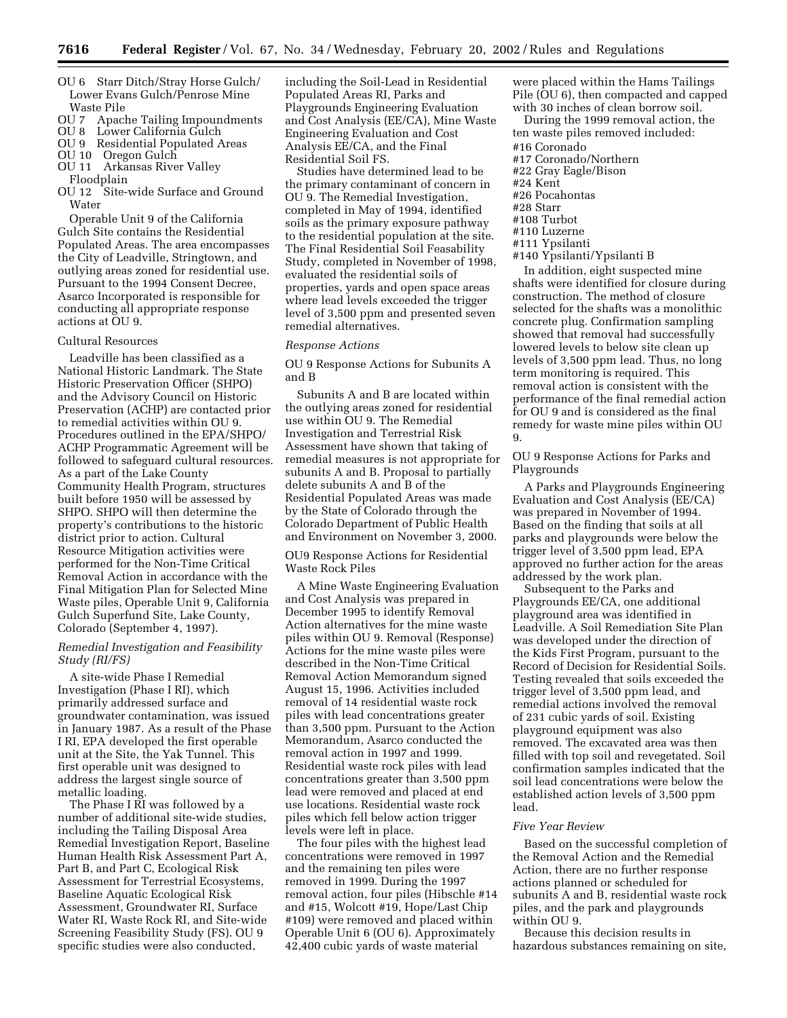- OU 6 Starr Ditch/Stray Horse Gulch/ Lower Evans Gulch/Penrose Mine Waste Pile
- OU 7 Apache Tailing Impoundments
- OU 8 Lower California Gulch
- OU 9 Residential Populated Areas
- OU 10 Oregon Gulch

OU 11 Arkansas River Valley

Floodplain

OU 12 Site-wide Surface and Ground **Water** 

Operable Unit 9 of the California Gulch Site contains the Residential Populated Areas. The area encompasses the City of Leadville, Stringtown, and outlying areas zoned for residential use. Pursuant to the 1994 Consent Decree, Asarco Incorporated is responsible for conducting all appropriate response actions at OU 9.

#### Cultural Resources

Leadville has been classified as a National Historic Landmark. The State Historic Preservation Officer (SHPO) and the Advisory Council on Historic Preservation (ACHP) are contacted prior to remedial activities within OU 9. Procedures outlined in the EPA/SHPO/ ACHP Programmatic Agreement will be followed to safeguard cultural resources. As a part of the Lake County Community Health Program, structures built before 1950 will be assessed by SHPO. SHPO will then determine the property's contributions to the historic district prior to action. Cultural Resource Mitigation activities were performed for the Non-Time Critical Removal Action in accordance with the Final Mitigation Plan for Selected Mine Waste piles, Operable Unit 9, California Gulch Superfund Site, Lake County, Colorado (September 4, 1997).

## *Remedial Investigation and Feasibility Study (RI/FS)*

A site-wide Phase I Remedial Investigation (Phase I RI), which primarily addressed surface and groundwater contamination, was issued in January 1987. As a result of the Phase I RI, EPA developed the first operable unit at the Site, the Yak Tunnel. This first operable unit was designed to address the largest single source of metallic loading.

The Phase I RI was followed by a number of additional site-wide studies, including the Tailing Disposal Area Remedial Investigation Report, Baseline Human Health Risk Assessment Part A, Part B, and Part C, Ecological Risk Assessment for Terrestrial Ecosystems, Baseline Aquatic Ecological Risk Assessment, Groundwater RI, Surface Water RI, Waste Rock RI, and Site-wide Screening Feasibility Study (FS). OU 9 specific studies were also conducted,

including the Soil-Lead in Residential Populated Areas RI, Parks and Playgrounds Engineering Evaluation and Cost Analysis (EE/CA), Mine Waste Engineering Evaluation and Cost Analysis EE/CA, and the Final Residential Soil FS.

Studies have determined lead to be the primary contaminant of concern in OU 9. The Remedial Investigation, completed in May of 1994, identified soils as the primary exposure pathway to the residential population at the site. The Final Residential Soil Feasability Study, completed in November of 1998, evaluated the residential soils of properties, yards and open space areas where lead levels exceeded the trigger level of 3,500 ppm and presented seven remedial alternatives.

## *Response Actions*

OU 9 Response Actions for Subunits A and B

Subunits A and B are located within the outlying areas zoned for residential use within OU 9. The Remedial Investigation and Terrestrial Risk Assessment have shown that taking of remedial measures is not appropriate for subunits A and B. Proposal to partially delete subunits A and B of the Residential Populated Areas was made by the State of Colorado through the Colorado Department of Public Health and Environment on November 3, 2000.

OU9 Response Actions for Residential Waste Rock Piles

A Mine Waste Engineering Evaluation and Cost Analysis was prepared in December 1995 to identify Removal Action alternatives for the mine waste piles within OU 9. Removal (Response) Actions for the mine waste piles were described in the Non-Time Critical Removal Action Memorandum signed August 15, 1996. Activities included removal of 14 residential waste rock piles with lead concentrations greater than 3,500 ppm. Pursuant to the Action Memorandum, Asarco conducted the removal action in 1997 and 1999. Residential waste rock piles with lead concentrations greater than 3,500 ppm lead were removed and placed at end use locations. Residential waste rock piles which fell below action trigger levels were left in place.

The four piles with the highest lead concentrations were removed in 1997 and the remaining ten piles were removed in 1999. During the 1997 removal action, four piles (Hibschle #14 and #15, Wolcott #19, Hope/Last Chip #109) were removed and placed within Operable Unit 6 (OU 6). Approximately 42,400 cubic yards of waste material

- were placed within the Hams Tailings Pile (OU 6), then compacted and capped with 30 inches of clean borrow soil.
- During the 1999 removal action, the ten waste piles removed included:
- #16 Coronado
- #17 Coronado/Northern
- #22 Gray Eagle/Bison
- #24 Kent
- #26 Pocahontas
- #28 Starr
- #108 Turbot #110 Luzerne
- 
- #111 Ypsilanti #140 Ypsilanti/Ypsilanti B

In addition, eight suspected mine

shafts were identified for closure during construction. The method of closure selected for the shafts was a monolithic concrete plug. Confirmation sampling showed that removal had successfully lowered levels to below site clean up levels of 3,500 ppm lead. Thus, no long term monitoring is required. This removal action is consistent with the performance of the final remedial action for OU 9 and is considered as the final remedy for waste mine piles within OU 9.

OU 9 Response Actions for Parks and Playgrounds

A Parks and Playgrounds Engineering Evaluation and Cost Analysis (EE/CA) was prepared in November of 1994. Based on the finding that soils at all parks and playgrounds were below the trigger level of 3,500 ppm lead, EPA approved no further action for the areas addressed by the work plan.

Subsequent to the Parks and Playgrounds EE/CA, one additional playground area was identified in Leadville. A Soil Remediation Site Plan was developed under the direction of the Kids First Program, pursuant to the Record of Decision for Residential Soils. Testing revealed that soils exceeded the trigger level of 3,500 ppm lead, and remedial actions involved the removal of 231 cubic yards of soil. Existing playground equipment was also removed. The excavated area was then filled with top soil and revegetated. Soil confirmation samples indicated that the soil lead concentrations were below the established action levels of 3,500 ppm lead.

#### *Five Year Review*

Based on the successful completion of the Removal Action and the Remedial Action, there are no further response actions planned or scheduled for subunits A and B, residential waste rock piles, and the park and playgrounds within OU 9.

Because this decision results in hazardous substances remaining on site,